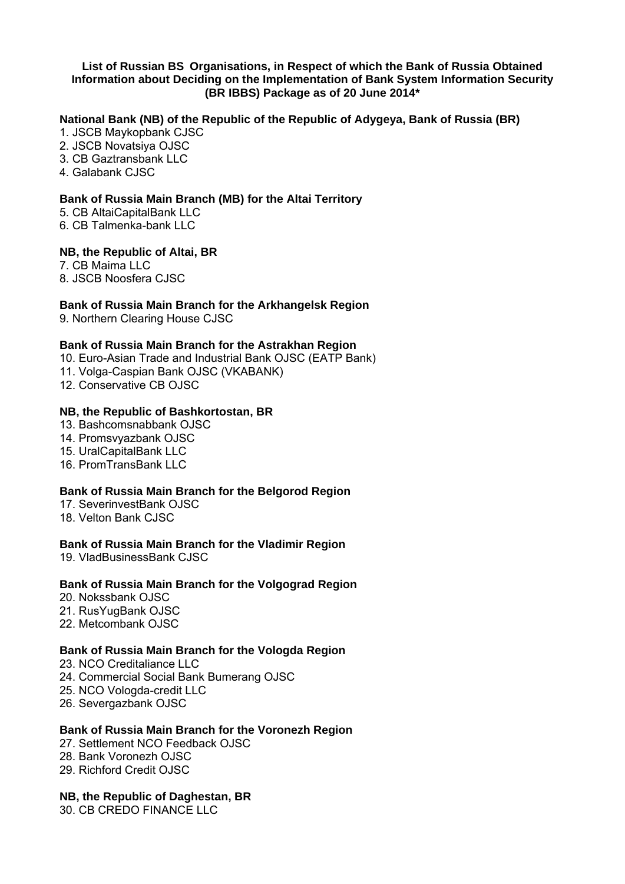#### **List of Russian BS Organisations, in Respect of which the Bank of Russia Obtained Information about Deciding on the Implementation of Bank System Information Security (BR IBBS) Package as of 20 June 2014\***

## **National Bank (NB) of the Republic of the Republic of Adygeya, Bank of Russia (BR)**

- 1. JSCB Maykopbank CJSC
- 2. JSCB Novatsiya OJSC
- 3. CB Gaztransbank LLC
- 4. Galabank CJSC

## **Bank of Russia Main Branch (MB) for the Altai Territory**

- 5. CB AltaiCapitalBank LLC
- 6. CB Talmenka-bank LLC

#### **NB, the Republic of Altai, BR**

- 7. CB Maima LLC
- 8. JSCB Noosfera CJSC

#### **Bank of Russia Main Branch for the Arkhangelsk Region**

9. Northern Clearing House CJSC

#### **Bank of Russia Main Branch for the Astrakhan Region**

- 10. Euro-Asian Trade and Industrial Bank OJSC (EATP Bank)
- 11. Volga-Caspian Bank OJSC (VKABANK)
- 12. Conservative CB OJSC

#### **NB, the Republic of Bashkortostan, BR**

- 13. Bashcomsnabbank OJSC
- 14. Promsvyazbank OJSC
- 15. UralCapitalBank LLC
- 16. PromTransBank LLC

## **Bank of Russia Main Branch for the Belgorod Region**

- 17. SeverinvestBank OJSC
- 18. Velton Bank CJSC

## **Bank of Russia Main Branch for the Vladimir Region**

19. VladBusinessBank CJSC

## **Bank of Russia Main Branch for the Volgograd Region**

- 20. Nokssbank OJSC
- 21. RusYugBank OJSC
- 22. Metcombank OJSC

## **Bank of Russia Main Branch for the Vologda Region**

- 23. NCO Creditaliance LLC
- 24. Commercial Social Bank Bumerang OJSC
- 25. NCO Vologda-credit LLC
- 26. Severgazbank OJSC

## **Bank of Russia Main Branch for the Voronezh Region**

- 27. Settlement NCO Feedback OJSC
- 28. Bank Voronezh OJSC
- 29. Richford Credit OJSC

## **NB, the Republic of Daghestan, BR**

30. CB CREDO FINANCE LLC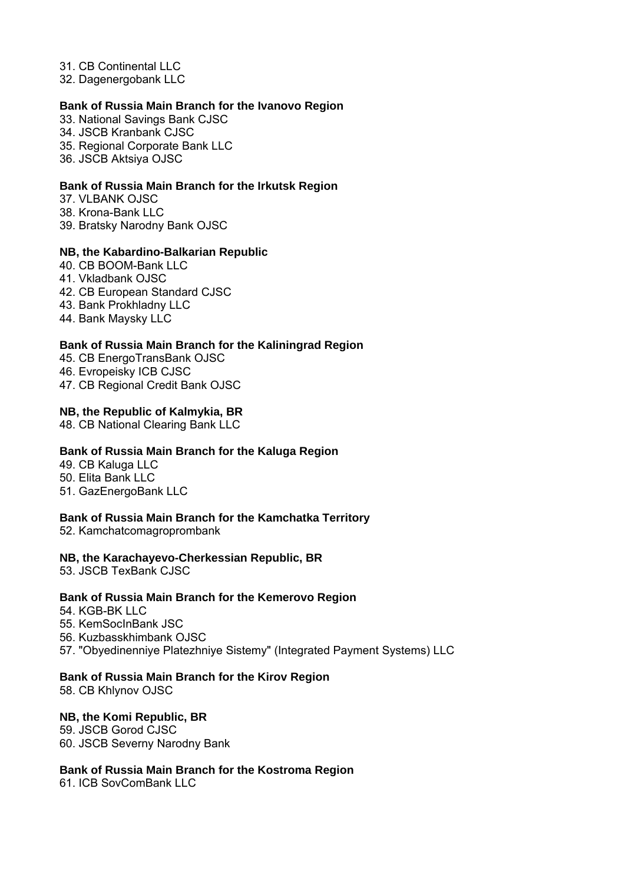31. CB Continental LLC

32. Dagenergobank LLC

## **Bank of Russia Main Branch for the Ivanovo Region**

33. National Savings Bank CJSC

- 34. JSCB Kranbank CJSC
- 35. Regional Corporate Bank LLC
- 36. JSCB Aktsiya OJSC

## **Bank of Russia Main Branch for the Irkutsk Region**

37. VLBANK OJSC 38. Krona-Bank LLC 39. Bratsky Narodny Bank OJSC

## **NB, the Kabardino-Balkarian Republic**

- 40. CB BOOM-Bank LLC
- 41. Vkladbank OJSC
- 42. CB European Standard CJSC
- 43. Bank Prokhladny LLC
- 44. Bank Maysky LLC

# **Bank of Russia Main Branch for the Kaliningrad Region**

- 45. CB EnergoTransBank OJSC
- 46. Evropeisky ICB CJSC
- 47. CB Regional Credit Bank OJSC

## **NB, the Republic of Kalmykia, BR**

48. CB National Clearing Bank LLC

# **Bank of Russia Main Branch for the Kaluga Region**

- 49. CB Kaluga LLC
- 50. Elita Bank LLC
- 51. GazEnergoBank LLC

# **Bank of Russia Main Branch for the Kamchatka Territory**

52. Kamchatcomagroprombank

## **NB, the Karachayevo-Cherkessian Republic, BR**

53. JSCB TexBank CJSC

## **Bank of Russia Main Branch for the Kemerovo Region**

- 54. KGB-BK LLC
- 55. KemSocInBank JSC
- 56. Kuzbasskhimbank OJSC
- 57. "Obyedinenniye Platezhniye Sistemy" (Integrated Payment Systems) LLC

## **Bank of Russia Main Branch for the Kirov Region**

58. CB Khlynov OJSC

## **NB, the Komi Republic, BR**

59. JSCB Gorod CJSC 60. JSCB Severny Narodny Bank

## **Bank of Russia Main Branch for the Kostroma Region**

61. ICB SovComBank LLC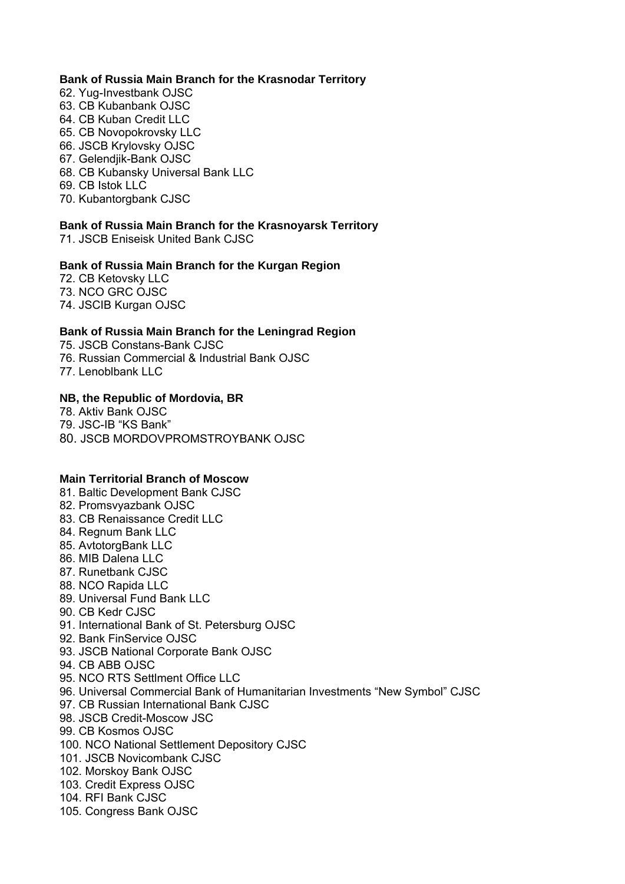#### **Bank of Russia Main Branch for the Krasnodar Territory**

- 62. Yug-Investbank OJSC
- 63. CB Kubanbank OJSC
- 64. CB Kuban Credit LLC
- 65. CB Novopokrovsky LLC
- 66. JSCB Krylovsky OJSC
- 67. Gelendjik-Bank OJSC
- 68. CB Kubansky Universal Bank LLC
- 69. CB Istok LLC
- 70. Kubantorgbank CJSC

## **Bank of Russia Main Branch for the Krasnoyarsk Territory**

71. JSCB Eniseisk United Bank CJSC

#### **Bank of Russia Main Branch for the Kurgan Region**

72. CB Ketovsky LLC 73. NCO GRC OJSC 74. JSCIB Kurgan OJSC

## **Bank of Russia Main Branch for the Leningrad Region**

75. JSCB Constans-Bank CJSC

- 76. Russian Commercial & Industrial Bank OJSC
- 77. Lenoblbank LLC

#### **NB, the Republic of Mordovia, BR**

78. Aktiv Bank OJSC

- 79. JSC-IB "KS Bank"
- 80. JSCB MORDOVPROMSTROYBANK OJSC

## **Main Territorial Branch of Moscow**

- 81. Baltic Development Bank CJSC
- 82. Promsvyazbank OJSC
- 83. CB Renaissance Credit LLC
- 84. Regnum Bank LLC
- 85. AvtotorgBank LLC
- 86. MIB Dalena LLC
- 87. Runetbank CJSC
- 88. NCO Rapida LLC
- 89. Universal Fund Bank LLC
- 90. CB Kedr CJSC
- 91. International Bank of St. Petersburg OJSC
- 92. Bank FinService OJSC
- 93. JSCB National Corporate Bank OJSC
- 94. CB ABB OJSC
- 95. NCO RTS Settlment Office LLC
- 96. Universal Commercial Bank of Humanitarian Investments "New Symbol" CJSC
- 97. CB Russian International Bank CJSC
- 98. JSCB Credit-Moscow JSC
- 99. CB Kosmos OJSC
- 100. NCO National Settlement Depository CJSC
- 101. JSCB Novicombank CJSC
- 102. Morskoy Bank OJSC
- 103. Credit Express OJSC
- 104. RFI Bank CJSC
- 105. Congress Bank OJSC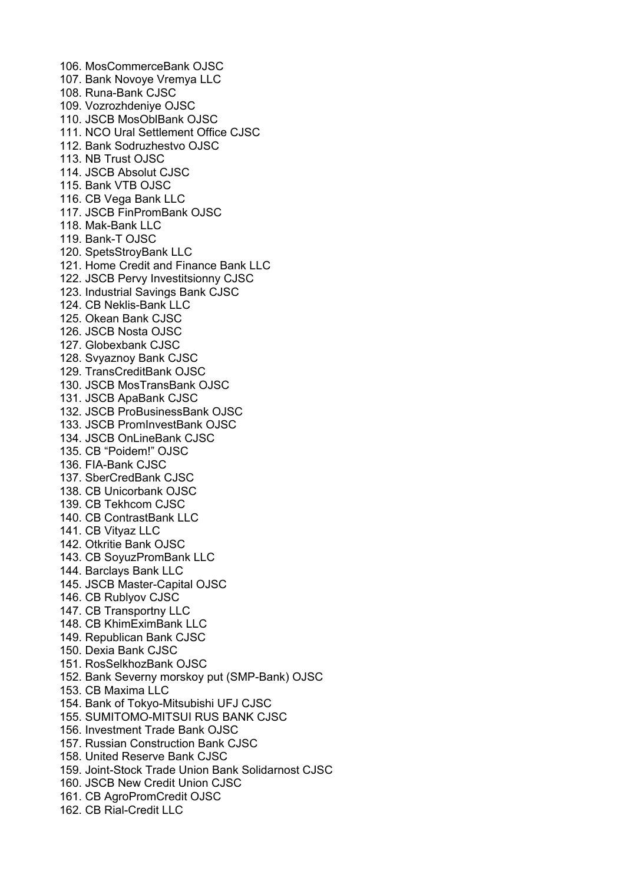106. MosCommerceBank OJSC 107. Bank Novoye Vremya LLC 108. Runa-Bank CJSC 109. Vozrozhdeniye OJSC 110. JSCB MosOblBank OJSC 111. NCO Ural Settlement Office CJSC 112. Bank Sodruzhestvo OJSC 113. NB Trust OJSC 114. JSCB Absolut CJSC 115. Bank VTB OJSC 116. CB Vega Bank LLC 117. JSCB FinPromBank OJSC 118. Mak-Bank LLC 119. Bank-T OJSC 120. SpetsStroyBank LLC 121. Home Credit and Finance Bank LLC 122. JSCB Pervy Investitsionny CJSC 123. Industrial Savings Bank CJSC 124. CB Neklis-Bank LLC 125. Okean Bank CJSC 126. JSCB Nosta OJSC 127. Globexbank CJSC 128. Svyaznoy Bank CJSC 129. TransCreditBank OJSC 130. JSCB MosTransBank OJSC 131. JSCB ApaBank CJSC 132. JSCB ProBusinessBank OJSC 133. JSCB PromInvestBank OJSC 134. JSCB OnLineBank CJSC 135. CB "Poidem!" OJSC 136. FIA-Bank CJSC 137. SberCredBank CJSC 138. CB Unicorbank OJSC 139. CB Tekhcom CJSC 140. CB ContrastBank LLC 141. CB Vityaz LLC 142. Otkritie Bank OJSC 143. CB SoyuzPromBank LLC 144. Barclays Bank LLC 145. JSCB Master-Capital OJSC 146. CB Rublyov CJSC 147. CB Transportny LLC 148. CB KhimEximBank LLC 149. Republican Bank CJSC 150. Dexia Bank CJSC 151. RosSelkhozBank OJSC 152. Bank Severny morskoy put (SMP-Bank) OJSC 153. CB Maxima LLC 154. Bank of Tokyo-Mitsubishi UFJ CJSC 155. SUMITOMO-MITSUI RUS BANK CJSC 156. Investment Trade Bank OJSC 157. Russian Construction Bank CJSC 158. United Reserve Bank CJSC 159. Joint-Stock Trade Union Bank Solidarnost CJSC 160. JSCB New Credit Union CJSC 161. CB AgroPromCredit OJSC 162. CB Rial-Credit LLC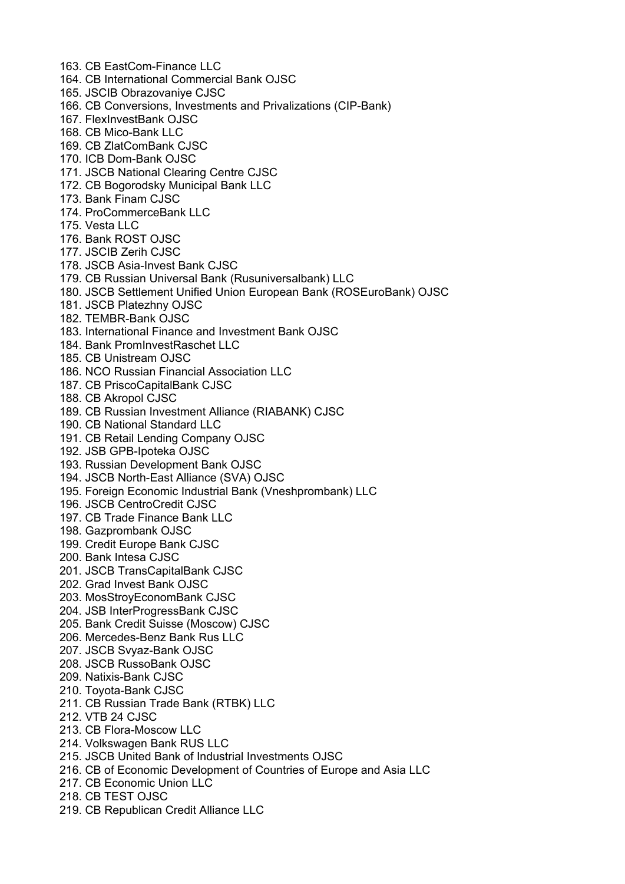- 163. CB EastCom-Finance LLC
- 164. CB International Commercial Bank OJSC
- 165. JSCIB Obrazovaniye CJSC
- 166. CB Conversions, Investments and Privalizations (CIP-Bank)
- 167. FlexInvestBank OJSC
- 168. CB Mico-Bank LLC
- 169. CB ZlatComBank CJSC
- 170. ICB Dom-Bank OJSC
- 171. JSCB National Clearing Centre CJSC
- 172. CB Bogorodsky Municipal Bank LLC
- 173. Bank Finam CJSC
- 174. ProCommerceBank LLC
- 175. Vesta LLC
- 176. Bank ROST OJSC
- 177. JSCIB Zerih CJSC
- 178. JSCB Asia-Invest Bank CJSC
- 179. CB Russian Universal Bank (Rusuniversalbank) LLC
- 180. JSCB Settlement Unified Union European Bank (ROSEuroBank) OJSC
- 181. JSCB Platezhny OJSC
- 182. TEMBR-Bank OJSC
- 183. International Finance and Investment Bank OJSC
- 184. Bank PromInvestRaschet LLC
- 185. CB Unistream OJSC
- 186. NCO Russian Financial Association LLC
- 187. CB PriscoCapitalBank CJSC
- 188. CB Akropol CJSC
- 189. CB Russian Investment Alliance (RIABANK) CJSC
- 190. CB National Standard LLC
- 191. CB Retail Lending Company OJSC
- 192. JSB GPB-Ipoteka OJSC
- 193. Russian Development Bank OJSC
- 194. JSCB North-East Alliance (SVA) OJSC
- 195. Foreign Economic Industrial Bank (Vneshprombank) LLC
- 196. JSCB CentroCredit CJSC
- 197. CB Trade Finance Bank LLC
- 198. Gazprombank OJSC
- 199. Credit Europe Bank CJSC
- 200. Bank Intesa CJSC
- 201. JSCB TransCapitalBank CJSC
- 202. Grad Invest Bank OJSC
- 203. MosStroyEconomBank CJSC
- 204. JSB InterProgressBank CJSC
- 205. Bank Credit Suisse (Moscow) CJSC
- 206. Mercedes-Benz Bank Rus LLC
- 207. JSCB Svyaz-Bank OJSC
- 208. JSCB RussoBank OJSC
- 209. Natixis-Bank CJSC
- 210. Toyota-Bank CJSC
- 211. CB Russian Trade Bank (RTBK) LLC
- 212. VTB 24 CJSC
- 213. CB Flora-Moscow LLC
- 214. Volkswagen Bank RUS LLC
- 215. JSCB United Bank of Industrial Investments OJSC
- 216. CB of Economic Development of Countries of Europe and Asia LLC
- 217. CB Economic Union LLC
- 218. CB TEST OJSC
- 219. CB Republican Credit Alliance LLC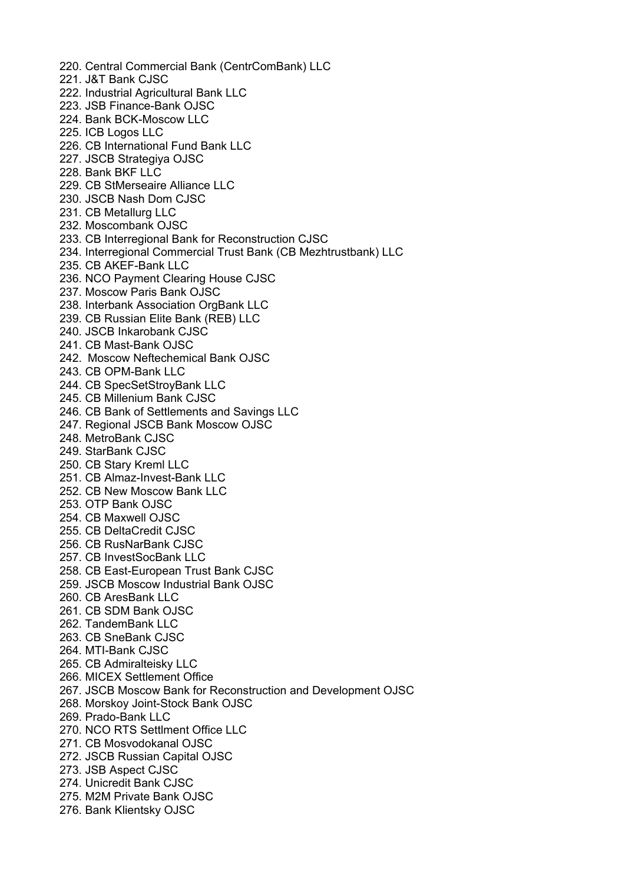220. Central Commercial Bank (CentrComBank) LLC 221. J&T Bank CJSC 222. Industrial Agricultural Bank LLC 223. JSB Finance-Bank OJSC 224. Bank BCK-Moscow LLC 225. ICB Logos LLC 226. CB International Fund Bank LLC 227. JSCB Strategiya OJSC 228. Bank BKF LLC 229. CB StMerseaire Alliance LLC 230. JSCB Nash Dom CJSC 231. CB Metallurg LLC 232. Moscombank OJSC 233. CB Interregional Bank for Reconstruction CJSC 234. Interregional Commercial Trust Bank (CB Mezhtrustbank) LLC 235. CB AKEF-Bank LLC 236. NCO Payment Clearing House CJSC 237. Moscow Paris Bank OJSC 238. Interbank Association OrgBank LLC 239. CB Russian Elite Bank (REB) LLC 240. JSCB Inkarobank CJSC 241. CB Mast-Bank OJSC 242. Moscow Neftechemical Bank OJSC 243. CB OPM-Bank LLC 244. CB SpecSetStroyBank LLC 245. CB Millenium Bank CJSC 246. CB Bank of Settlements and Savings LLC 247. Regional JSCB Bank Moscow OJSC 248. MetroBank CJSC 249. StarBank CJSC 250. CB Stary Kreml LLC 251. CB Almaz-Invest-Bank LLC 252. CB New Moscow Bank LLC 253. OTP Bank OJSC 254. CB Maxwell OJSC 255. CB DeltaCredit CJSC 256. CB RusNarBank CJSC 257. CB InvestSocBank LLC 258. CB East-European Trust Bank CJSC 259. JSCB Moscow Industrial Bank OJSC 260. CB AresBank LLC 261. CB SDM Bank OJSC 262. TandemBank LLC 263. CB SneBank CJSC 264. MTI-Bank CJSC 265. CB Admiralteisky LLC 266. MICEX Settlement Office 267. JSCB Moscow Bank for Reconstruction and Development OJSC 268. Morskoy Joint-Stock Bank OJSC 269. Prado-Bank LLC 270. NCO RTS Settlment Office LLC 271. CB Mosvodokanal OJSC 272. JSCB Russian Capital OJSC 273. JSB Aspect CJSC 274. Unicredit Bank CJSC 275. М2М Private Bank OJSC 276. Bank Klientsky OJSC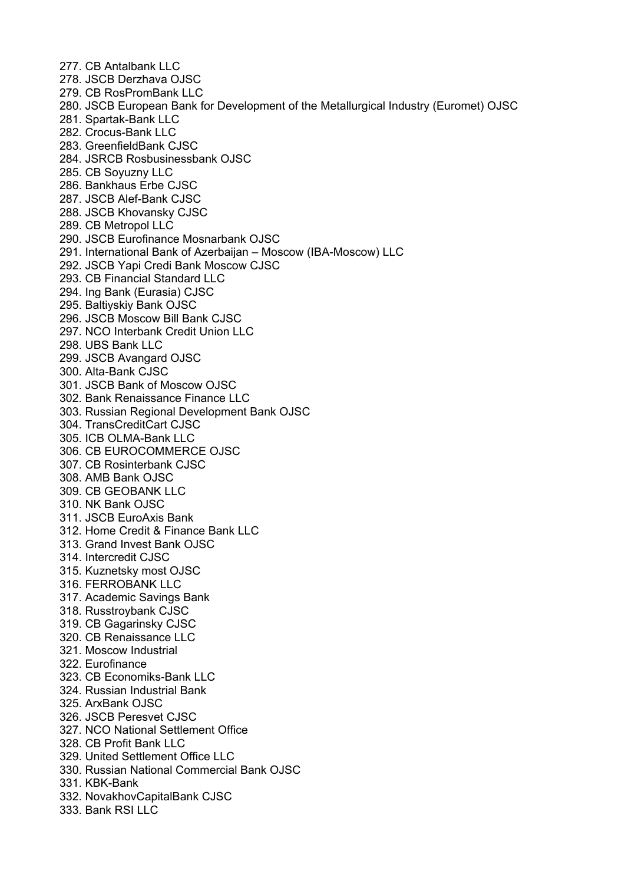277 CB Antalbank LLC 278. JSCB Derzhava OJSC 279. CB RosPromBank LLC 280. JSCB European Bank for Development of the Metallurgical Industry (Euromet) OJSC 281. Spartak-Bank LLC 282. Crocus-Bank LLC 283. GreenfieldBank CJSC 284. JSRCB Rosbusinessbank OJSC 285. CB Soyuzny LLC 286. Bankhaus Erbe CJSC 287. JSCB Alef-Bank CJSC 288. JSCB Khovansky CJSC 289. CB Metropol LLC 290. JSCB Eurofinance Mosnarbank OJSC 291. International Bank of Azerbaijan – Moscow (IBA-Moscow) LLC 292. JSCB Yapi Credi Bank Moscow CJSC 293. CB Financial Standard LLC 294. Ing Bank (Eurasia) CJSC 295. Baltiyskiy Bank OJSC 296. JSCB Moscow Bill Bank CJSC 297. NCO Interbank Credit Union LLC 298. UBS Bank LLC 299. JSCB Avangard OJSC 300. Alta-Bank CJSC 301. JSCB Bank of Moscow OJSC 302. Bank Renaissance Finance LLC 303. Russian Regional Development Bank OJSC 304. TransCreditCart CJSC 305. ICB OLMA-Bank LLC 306. CB EUROCOMMERCE OJSC 307. CB Rosinterbank CJSC 308. AMB Bank OJSC 309. CB GEOBANK LLC 310. NK Bank OJSC 311. JSCB EuroAxis Bank 312. Home Credit & Finance Bank LLC 313. Grand Invest Bank OJSC 314. Intercredit CJSC 315. Kuznetsky most OJSC 316. FERROBANK LLC 317. Academic Savings Bank 318. Russtroybank CJSC 319. CB Gagarinsky CJSC 320. CB Renaissance LLC 321. Moscow Industrial 322. Eurofinance 323. CB Economiks-Bank LLC 324. Russian Industrial Bank 325. ArxBank OJSC 326. JSCB Peresvet CJSC 327. NCO National Settlement Office 328. CB Profit Bank LLC 329. United Settlement Office LLC 330. Russian National Commercial Bank OJSC 331. KBK-Bank 332. NovakhovCapitalBank CJSC 333. Bank RSI LLC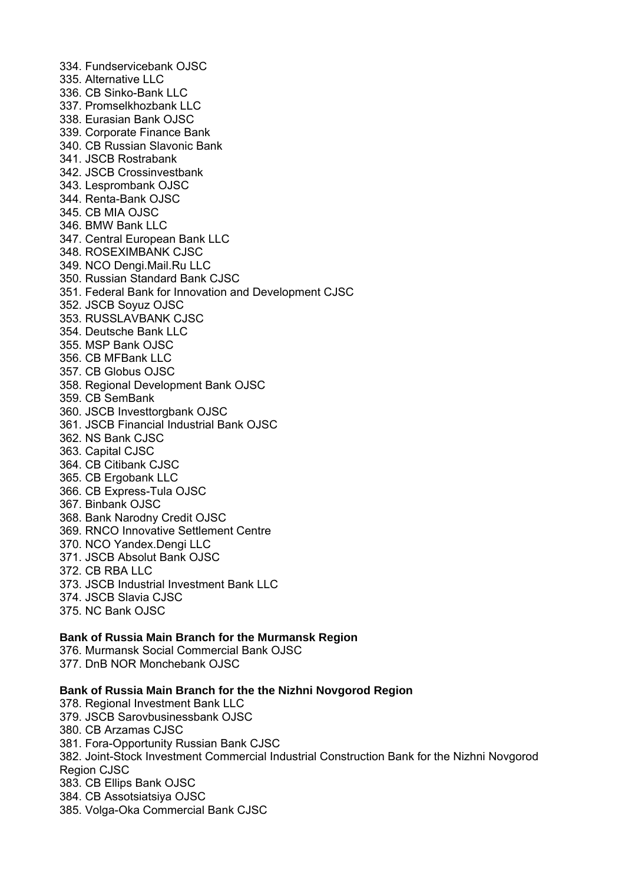334. Fundservicebank OJSC 335. Alternative LLC 336. CB Sinko-Bank LLC 337. Promselkhozbank LLC 338. Eurasian Bank OJSC 339. Corporate Finance Bank 340. CB Russian Slavonic Bank 341. JSCB Rostrabank 342. JSCB Crossinvestbank 343. Lesprombank OJSC 344. Renta-Bank OJSC 345. CB MIA OJSC 346. BMW Bank LLC 347. Central European Bank LLC 348. ROSEXIMBANK CJSC 349. NCO Dengi.Mail.Ru LLC 350. Russian Standard Bank CJSC 351. Federal Bank for Innovation and Development CJSC 352. JSCB Soyuz OJSC 353. RUSSLAVBANK CJSC 354. Deutsche Bank LLC 355. MSP Bank OJSC 356. CB MFBank LLC 357. CB Globus OJSC 358. Regional Development Bank OJSC 359. CB SemBank 360. JSCB Investtorgbank OJSC 361. JSCB Financial Industrial Bank OJSC 362. NS Bank CJSC 363. Capital CJSC 364. CB Citibank CJSC 365. CB Ergobank LLC 366. CB Express-Tula OJSC 367. Binbank OJSC 368. Bank Narodny Credit OJSC 369. RNCO Innovative Settlement Centre 370. NCO Yandex.Dengi LLC 371. JSCB Absolut Bank OJSC 372. CB RBA LLC 373. JSCB Industrial Investment Bank LLC 374. JSCB Slavia CJSC 375. NC Bank OJSC

# **Bank of Russia Main Branch for the Murmansk Region**

376. Murmansk Social Commercial Bank OJSC 377. DnB NOR Monchebank OJSC

#### **Bank of Russia Main Branch for the the Nizhni Novgorod Region**

378. Regional Investment Bank LLC 379. JSCB Sarovbusinessbank OJSC 380. CB Arzamas CJSC 381. Fora-Opportunity Russian Bank CJSC 382. Joint-Stock Investment Commercial Industrial Construction Bank for the Nizhni Novgorod Region CJSC 383. CB Ellips Bank OJSC 384. CB Assotsiatsiya OJSC 385. Volga-Oka Commercial Bank CJSC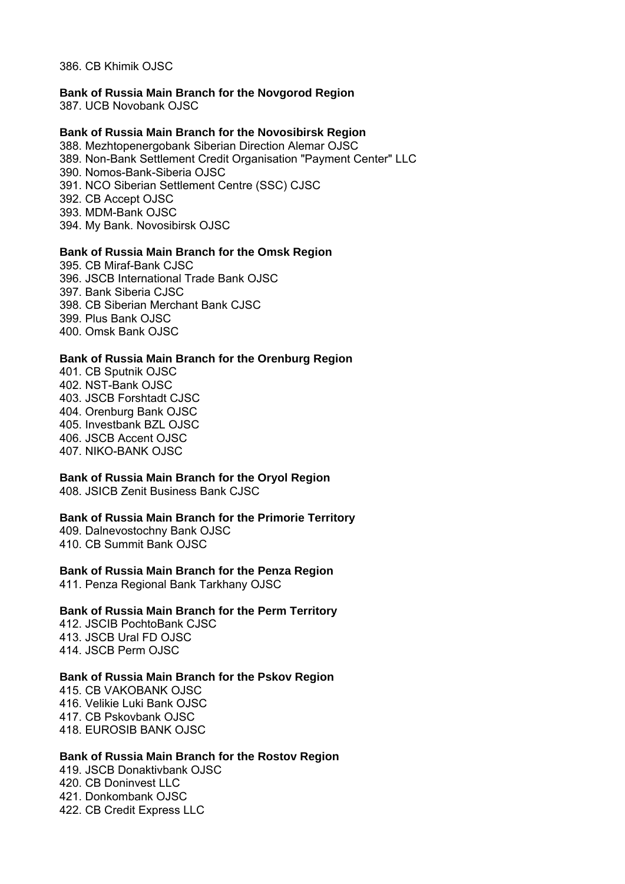386. CB Khimik OJSC

#### **Bank of Russia Main Branch for the Novgorod Region**

387. UCB Novobank OJSC

#### **Bank of Russia Main Branch for the Novosibirsk Region**

388. Mezhtopenergobank Siberian Direction Alemar OJSC 389. Non-Bank Settlement Credit Organisation "Payment Center" LLC 390. Nomos-Bank-Siberia OJSC 391. NCO Siberian Settlement Centre (SSC) CJSC 392. CB Accept OJSC 393. MDM-Bank OJSC 394. My Bank. Novosibirsk OJSC

#### **Bank of Russia Main Branch for the Omsk Region**

395. CB Miraf-Bank CJSC 396. JSCB International Trade Bank OJSC 397. Bank Siberia CJSC 398. CB Siberian Merchant Bank CJSC 399. Plus Bank OJSC 400. Omsk Bank OJSC

#### **Bank of Russia Main Branch for the Orenburg Region**

401. CB Sputnik OJSC 402. NST-Bank OJSC 403. JSCB Forshtadt CJSC 404. Orenburg Bank OJSC 405. Investbank BZL OJSC 406. JSCB Accent OJSC 407. NIKO-BANK OJSC

## **Bank of Russia Main Branch for the Oryol Region**

408. JSICB Zenit Business Bank CJSC

#### **Bank of Russia Main Branch for the Primorie Territory**

409. Dalnevostochny Bank OJSC 410. CB Summit Bank OJSC

#### **Bank of Russia Main Branch for the Penza Region**

411. Penza Regional Bank Tarkhany OJSC

#### **Bank of Russia Main Branch for the Perm Territory**

412. JSCIB PochtoBank CJSC 413. JSCB Ural FD OJSC 414. JSCB Perm OJSC

#### **Bank of Russia Main Branch for the Pskov Region**

415. CB VAKOBANK OJSC 416. Velikie Luki Bank OJSC 417. CB Pskovbank OJSC 418. EUROSIB BANK OJSC

#### **Bank of Russia Main Branch for the Rostov Region**

419. JSCB Donaktivbank OJSC 420. CB Doninvest LLC 421. Donkombank OJSC 422. CB Credit Express LLC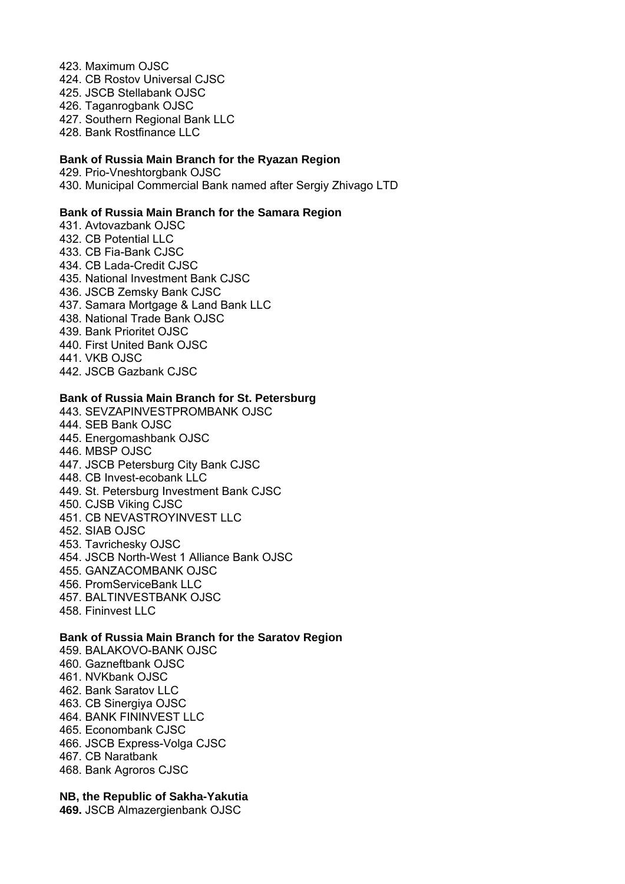#### 423. Maximum OJSC

- 424. CB Rostov Universal CJSC
- 425. JSCB Stellabank OJSC
- 426. Taganrogbank OJSC
- 427. Southern Regional Bank LLC
- 428. Bank Rostfinance LLC

#### **Bank of Russia Main Branch for the Ryazan Region**

429. Prio-Vneshtorgbank OJSC 430. Municipal Commercial Bank named after Sergiy Zhivago LTD

## **Bank of Russia Main Branch for the Samara Region**

431. Avtovazbank OJSC 432. CB Potential LLC 433. CB Fia-Bank CJSC 434. CB Lada-Credit CJSC 435. National Investment Bank CJSC 436. JSCB Zemsky Bank CJSC 437. Samara Mortgage & Land Bank LLC 438. National Trade Bank OJSC 439. Bank Prioritet OJSC 440. First United Bank OJSC 441. VKB OJSC 442. JSCB Gazbank CJSC

## **Bank of Russia Main Branch for St. Petersburg**

- 443. SEVZAPINVESTPROMBANK OJSC 444. SEB Bank OJSC 445. Energomashbank OJSC 446. MBSP OJSC 447. JSCB Petersburg City Bank CJSC 448. CB Invest-ecobank LLC 449. St. Petersburg Investment Bank CJSC 450. CJSB Viking CJSC 451. CB NEVASTROYINVEST LLC 452. SIAB OJSC 453. Tavrichesky OJSC 454. JSCB North-West 1 Alliance Bank OJSC 455. GANZACOMBANK OJSC 456. PromServiceBank LLC 457. BALTINVESTBANK OJSC
- 
- 458. Fininvest LLC

## **Bank of Russia Main Branch for the Saratov Region**

459. BALAKOVO-BANK OJSC 460. Gazneftbank OJSC 461. NVKbank OJSC 462. Bank Saratov LLC 463. CB Sinergiya OJSC 464. BANK FININVEST LLC 465. Econombank CJSC 466. JSCB Express-Volga CJSC 467. CB Naratbank 468. Bank Agroros CJSC

**NB, the Republic of Sakha-Yakutia** 

**469.** JSCB Almazergienbank OJSC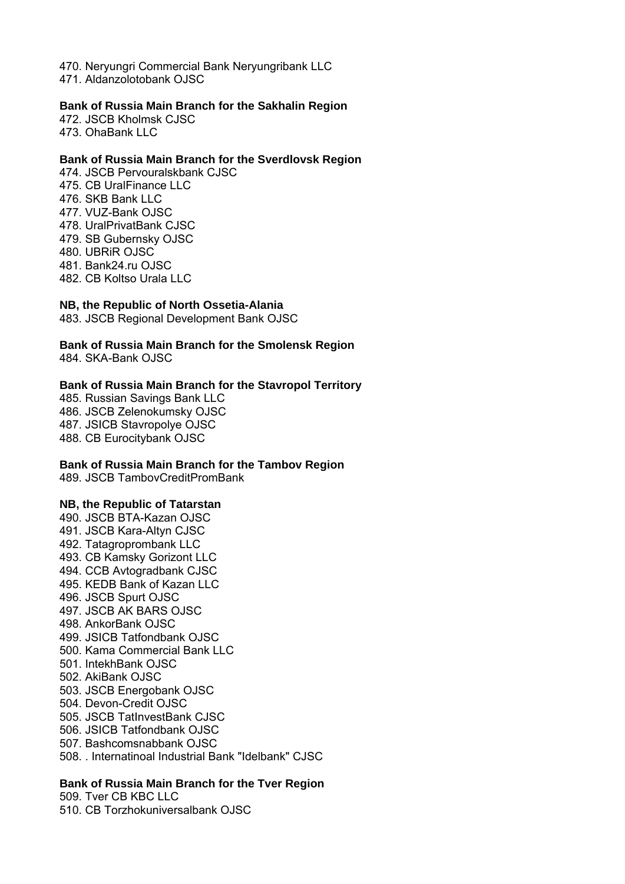470. Neryungri Commercial Bank Neryungribank LLC 471. Aldanzolotobank OJSC

#### **Bank of Russia Main Branch for the Sakhalin Region**

472. JSCB Kholmsk CJSC 473. OhaBank LLC

## **Bank of Russia Main Branch for the Sverdlovsk Region**

474. JSCB Pervouralskbank CJSC 475. CB UralFinance LLC 476. SKB Bank LLC 477. VUZ-Bank OJSC 478. UralPrivatBank CJSC 479. SB Gubernsky OJSC 480. UBRiR OJSC 481. Bank24.ru OJSC 482. CB Koltso Urala LLC

#### **NB, the Republic of North Ossetia-Alania**

483. JSCB Regional Development Bank OJSC

# **Bank of Russia Main Branch for the Smolensk Region**

484. SKA-Bank OJSC

#### **Bank of Russia Main Branch for the Stavropol Territory**

485. Russian Savings Bank LLC 486. JSCB Zelenokumsky OJSC 487. JSICB Stavropolye OJSC 488. CB Eurocitybank OJSC

#### **Bank of Russia Main Branch for the Tambov Region**

489. JSCB TambovCreditPromBank

#### **NB, the Republic of Tatarstan**

490. JSCB BTA-Kazan OJSC 491. JSCB Kara-Altyn CJSC 492. Tatagroprombank LLC 493. CB Kamsky Gorizont LLC 494. CCB Avtogradbank CJSC 495. KEDB Bank of Kazan LLC 496. JSCB Spurt OJSC 497. JSCB AK BARS OJSC 498. AnkorBank OJSC 499. JSICB Tatfondbank OJSC 500. Kama Commercial Bank LLC 501. IntekhBank OJSC 502. AkiBank OJSC 503. JSCB Energobank OJSC 504. Devon-Credit OJSC 505. JSCB TatInvestBank CJSC 506. JSICB Tatfondbank OJSC 507. Bashcomsnabbank OJSC 508. . Internatinoal Industrial Bank "Idelbank" CJSC

## **Bank of Russia Main Branch for the Tver Region**

509. Tver CB KBC LLC 510. CB Torzhokuniversalbank OJSC